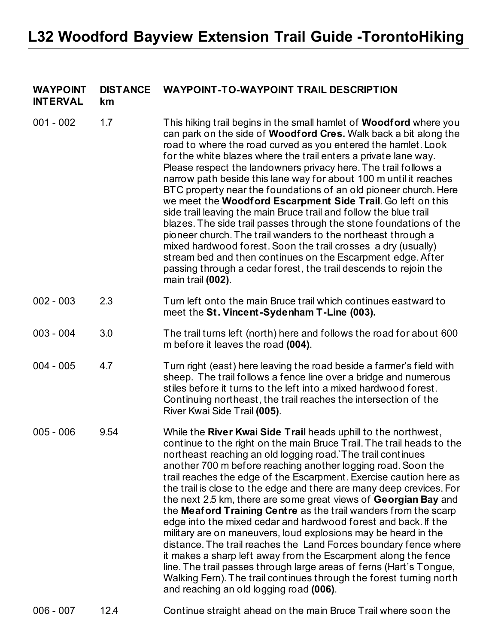## **WAYPOINT DISTANCE WAYPOINT-TO-WAYPOINT TRAIL DESCRIPTION**

**INTERVAL km**

| $001 - 002$ | 1.7  | This hiking trail begins in the small hamlet of <b>Woodford</b> where you<br>can park on the side of <b>Woodford Cres.</b> Walk back a bit along the<br>road to where the road curved as you entered the hamlet. Look<br>for the white blazes where the trail enters a private lane way.<br>Please respect the landowners privacy here. The trail follows a<br>narrow path beside this lane way for about 100 m until it reaches<br>BTC property near the foundations of an old pioneer church. Here<br>we meet the Woodford Escarpment Side Trail. Go left on this<br>side trail leaving the main Bruce trail and follow the blue trail<br>blazes. The side trail passes through the stone foundations of the<br>pioneer church. The trail wanders to the northeast through a<br>mixed hardwood forest. Soon the trail crosses a dry (usually)<br>stream bed and then continues on the Escarpment edge. After<br>passing through a cedar forest, the trail descends to rejoin the<br>main trail (002).                       |
|-------------|------|-------------------------------------------------------------------------------------------------------------------------------------------------------------------------------------------------------------------------------------------------------------------------------------------------------------------------------------------------------------------------------------------------------------------------------------------------------------------------------------------------------------------------------------------------------------------------------------------------------------------------------------------------------------------------------------------------------------------------------------------------------------------------------------------------------------------------------------------------------------------------------------------------------------------------------------------------------------------------------------------------------------------------------|
| $002 - 003$ | 2.3  | Turn left onto the main Bruce trail which continues eastward to<br>meet the St. Vincent-Sydenham T-Line (003).                                                                                                                                                                                                                                                                                                                                                                                                                                                                                                                                                                                                                                                                                                                                                                                                                                                                                                                |
| $003 - 004$ | 3.0  | The trail turns left (north) here and follows the road for about 600<br>m before it leaves the road (004).                                                                                                                                                                                                                                                                                                                                                                                                                                                                                                                                                                                                                                                                                                                                                                                                                                                                                                                    |
| $004 - 005$ | 4.7  | Turn right (east) here leaving the road beside a farmer's field with<br>sheep. The trail follows a fence line over a bridge and numerous<br>stiles before it turns to the left into a mixed hardwood forest.<br>Continuing northeast, the trail reaches the intersection of the<br>River Kwai Side Trail (005).                                                                                                                                                                                                                                                                                                                                                                                                                                                                                                                                                                                                                                                                                                               |
| $005 - 006$ | 9.54 | While the River Kwai Side Trail heads uphill to the northwest,<br>continue to the right on the main Bruce Trail. The trail heads to the<br>northeast reaching an old logging road. The trail continues<br>another 700 m before reaching another logging road. Soon the<br>trail reaches the edge of the Escarpment. Exercise caution here as<br>the trail is close to the edge and there are many deep crevices. For<br>the next 2.5 km, there are some great views of Georgian Bay and<br>the Meaford Training Centre as the trail wanders from the scarp<br>edge into the mixed cedar and hardwood forest and back. If the<br>military are on maneuvers, loud explosions may be heard in the<br>distance. The trail reaches the Land Forces boundary fence where<br>it makes a sharp left away from the Escarpment along the fence<br>line. The trail passes through large areas of ferns (Hart's Tongue,<br>Walking Fern). The trail continues through the forest turning north<br>and reaching an old logging road (006). |
| $006 - 007$ | 12.4 | Continue straight ahead on the main Bruce Trail where soon the                                                                                                                                                                                                                                                                                                                                                                                                                                                                                                                                                                                                                                                                                                                                                                                                                                                                                                                                                                |